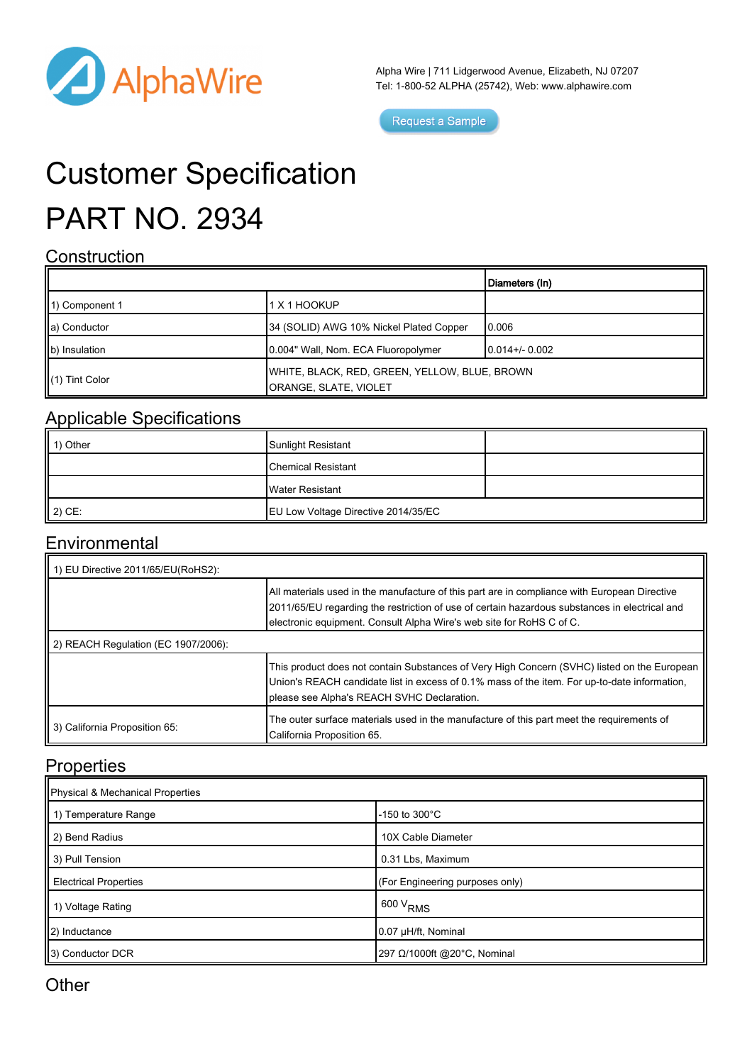

Alpha Wire | 711 Lidgerwood Avenue, Elizabeth, NJ 07207 Tel: 1-800-52 ALPHA (25742), Web: www.alphawire.com

Request a Sample

# Customer Specification PART NO. 2934

### **Construction**

|                            |                                                                        | Diameters (In)   |
|----------------------------|------------------------------------------------------------------------|------------------|
| 11) Component 1            | 1 X 1 HOOKUP                                                           |                  |
| a) Conductor               | 34 (SOLID) AWG 10% Nickel Plated Copper                                | 10.006           |
| b) Insulation              | 0.004" Wall, Nom. ECA Fluoropolymer                                    | $10.014 + 0.002$ |
| $\parallel$ (1) Tint Color | WHITE, BLACK, RED, GREEN, YELLOW, BLUE, BROWN<br>ORANGE, SLATE, VIOLET |                  |

## Applicable Specifications

| 1) Other           | Sunlight Resistant                  |  |
|--------------------|-------------------------------------|--|
|                    | <b>Chemical Resistant</b>           |  |
|                    | Water Resistant                     |  |
| $\parallel$ 2) CE: | EU Low Voltage Directive 2014/35/EC |  |

#### **Environmental**

| 1) EU Directive 2011/65/EU(RoHS2):  |                                                                                                                                                                                                                                                                       |  |
|-------------------------------------|-----------------------------------------------------------------------------------------------------------------------------------------------------------------------------------------------------------------------------------------------------------------------|--|
|                                     | All materials used in the manufacture of this part are in compliance with European Directive<br>2011/65/EU regarding the restriction of use of certain hazardous substances in electrical and<br>electronic equipment. Consult Alpha Wire's web site for RoHS C of C. |  |
| 2) REACH Regulation (EC 1907/2006): |                                                                                                                                                                                                                                                                       |  |
|                                     | This product does not contain Substances of Very High Concern (SVHC) listed on the European<br>Union's REACH candidate list in excess of 0.1% mass of the item. For up-to-date information,<br>please see Alpha's REACH SVHC Declaration.                             |  |
| 3) California Proposition 65:       | The outer surface materials used in the manufacture of this part meet the requirements of<br>California Proposition 65.                                                                                                                                               |  |

#### **Properties**

| Physical & Mechanical Properties |                                 |  |
|----------------------------------|---------------------------------|--|
| 1 1) Temperature Range           | $-150$ to $300^{\circ}$ C       |  |
| 2) Bend Radius                   | 10X Cable Diameter              |  |
| 3) Pull Tension                  | 0.31 Lbs, Maximum               |  |
| <b>Electrical Properties</b>     | (For Engineering purposes only) |  |
| 1) Voltage Rating                | $1600 V_{RMS}$                  |  |
| 2) Inductance                    | 0.07 µH/ft, Nominal             |  |
| 3) Conductor DCR                 | 297 Ω/1000ft @20°C, Nominal     |  |